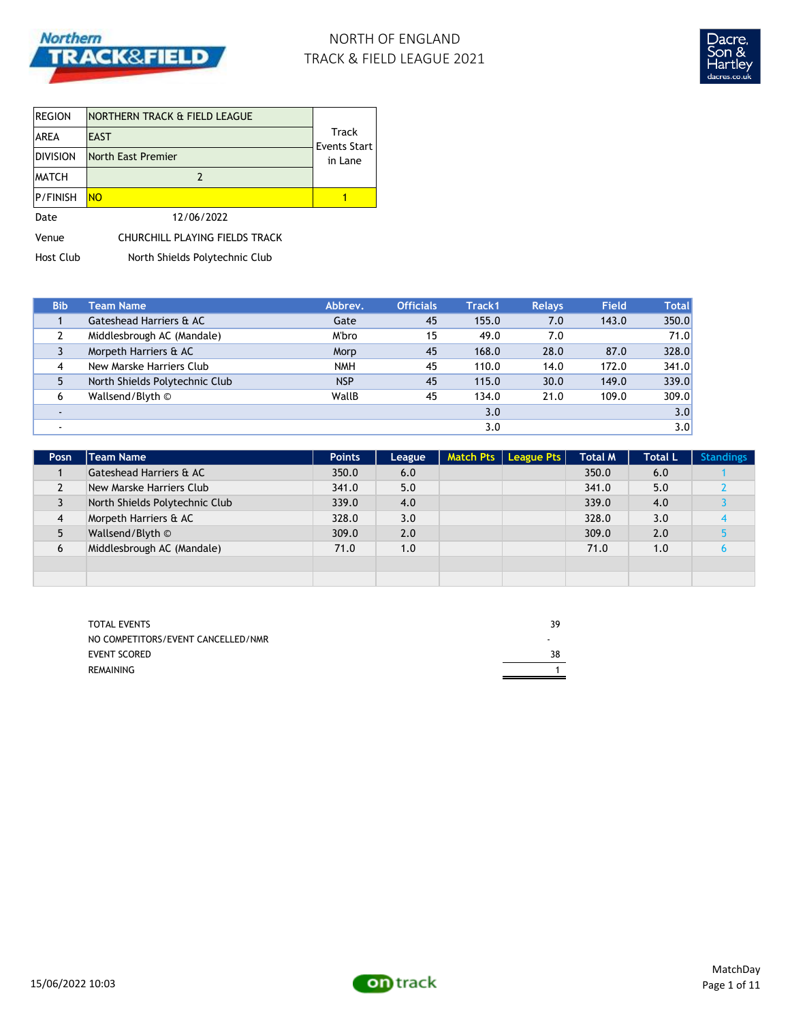

## NORTH OF ENGLAND TRACK & FIELD LEAGUE 2021



| <b>REGION</b>   | NORTHERN TRACK & FIELD LEAGUE  |                       |
|-----------------|--------------------------------|-----------------------|
| <b>AREA</b>     | <b>EAST</b>                    | Track<br>Events Start |
| <b>DIVISION</b> | North East Premier             | in Lane               |
| <b>IMATCH</b>   | 2                              |                       |
| P/FINISH        | <b>NO</b>                      |                       |
| Date            | 12/06/2022                     |                       |
| Venue           | CHURCHILL PLAYING FIELDS TRACK |                       |

Host Club North Shields Polytechnic Club

| <b>Bib</b> | <b>Team Name</b>               | Abbrev.    | <b>Officials</b> | Track1 | <b>Relays</b> | <b>Field</b> | <b>Total</b> |
|------------|--------------------------------|------------|------------------|--------|---------------|--------------|--------------|
|            | Gateshead Harriers & AC        | Gate       | 45               | 155.0  | 7.0           | 143.0        | 350.0        |
|            | Middlesbrough AC (Mandale)     | M'bro      | 15               | 49.0   | 7.0           |              | 71.0         |
|            | Morpeth Harriers & AC          | Morp       | 45               | 168.0  | 28.0          | 87.0         | 328.0        |
| 4          | New Marske Harriers Club       | <b>NMH</b> | 45               | 110.0  | 14.0          | 172.0        | 341.0        |
| 5          | North Shields Polytechnic Club | <b>NSP</b> | 45               | 115.0  | 30.0          | 149.0        | 339.0        |
| 6          | Wallsend/Blyth ©               | WallB      | 45               | 134.0  | 21.0          | 109.0        | 309.0        |
| ۰.         |                                |            |                  | 3.0    |               |              | 3.0          |
|            |                                |            |                  | 3.0    |               |              | 3.0          |

| Posn | <b>Team Name</b>               | <b>Points</b> | League | Match Pts   League Pts | <b>Total M</b> | <b>Total L</b> | <b>Standings</b> |
|------|--------------------------------|---------------|--------|------------------------|----------------|----------------|------------------|
|      | Gateshead Harriers & AC        | 350.0         | 6.0    |                        | 350.0          | 6.0            |                  |
|      | New Marske Harriers Club       | 341.0         | 5.0    |                        | 341.0          | 5.0            |                  |
| 3    | North Shields Polytechnic Club | 339.0         | 4.0    |                        | 339.0          | 4.0            |                  |
| 4    | Morpeth Harriers & AC          | 328.0         | 3.0    |                        | 328.0          | 3.0            |                  |
| 5    | Wallsend/Blyth ©               | 309.0         | 2.0    |                        | 309.0          | 2.0            |                  |
| 6    | Middlesbrough AC (Mandale)     | 71.0          | 1.0    |                        | 71.0           | 1.0            |                  |
|      |                                |               |        |                        |                |                |                  |
|      |                                |               |        |                        |                |                |                  |

| TOTAL EVENTS                       | 39 |
|------------------------------------|----|
| NO COMPETITORS/EVENT CANCELLED/NMR |    |
| <b>EVENT SCORED</b>                | 38 |
| REMAINING                          |    |

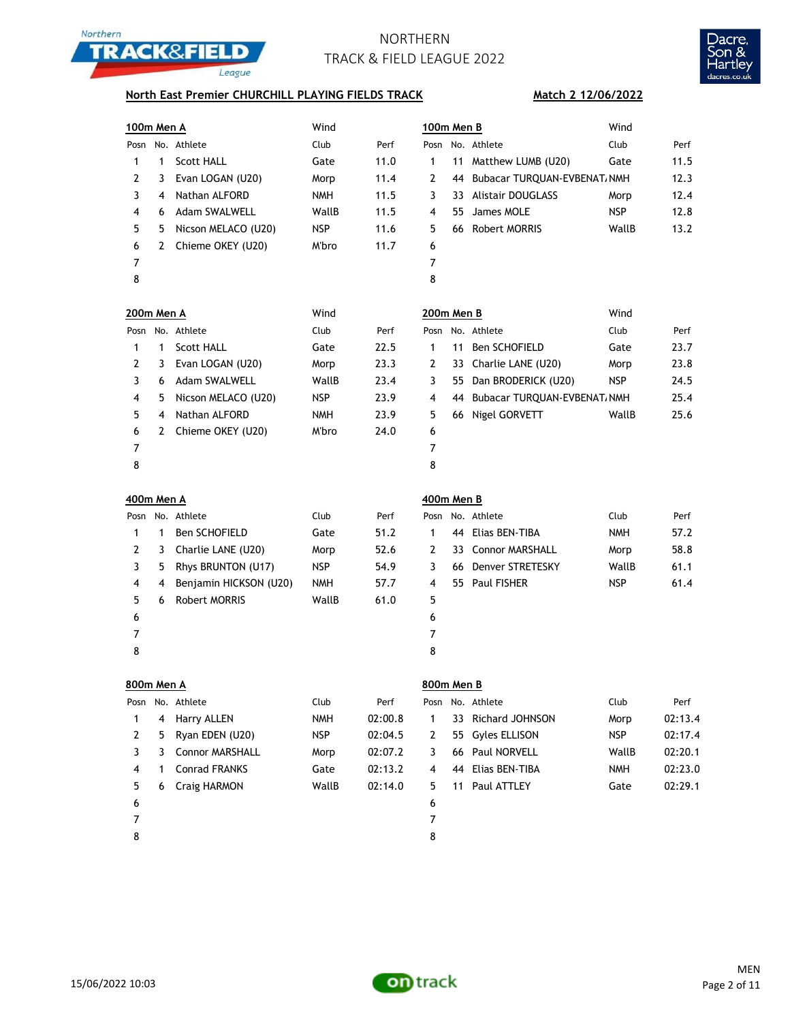



### **North East Premier CHURCHILL PLAYING FIELDS TRACK**

### **Match 2 12/06/2022**

| 100m Men A        |              |                        | Wind       |         | 100m Men B     |    |                                 | Wind       |         |
|-------------------|--------------|------------------------|------------|---------|----------------|----|---------------------------------|------------|---------|
|                   |              | Posn No. Athlete       | Club       | Perf    |                |    | Posn No. Athlete                | Club       | Perf    |
| 1                 | $\mathbf{1}$ | Scott HALL             | Gate       | 11.0    | 1              | 11 | Matthew LUMB (U20)              | Gate       | 11.5    |
| $\overline{2}$    | 3            | Evan LOGAN (U20)       | Morp       | 11.4    | $\overline{2}$ | 44 | Bubacar TURQUAN-EVBENAT, NMH    |            | 12.3    |
| 3                 | 4            | Nathan ALFORD          | <b>NMH</b> | 11.5    | 3              |    | 33 Alistair DOUGLASS            | Morp       | 12.4    |
| 4                 | 6            | Adam SWALWELL          | WallB      | 11.5    | 4              | 55 | James MOLE                      | <b>NSP</b> | 12.8    |
| 5                 | 5            | Nicson MELACO (U20)    | <b>NSP</b> | 11.6    | 5              |    | 66 Robert MORRIS                | WallB      | 13.2    |
| 6                 | 2            | Chieme OKEY (U20)      | M'bro      | 11.7    | 6              |    |                                 |            |         |
| 7                 |              |                        |            |         | $\overline{7}$ |    |                                 |            |         |
| 8                 |              |                        |            |         | 8              |    |                                 |            |         |
| 200m Men A        |              |                        | Wind       |         | 200m Men B     |    |                                 | Wind       |         |
|                   |              | Posn No. Athlete       | Club       | Perf    |                |    | Posn No. Athlete                | Club       | Perf    |
| 1                 | 1            | <b>Scott HALL</b>      | Gate       | 22.5    | 1              | 11 | Ben SCHOFIELD                   | Gate       | 23.7    |
| 2                 | 3            | Evan LOGAN (U20)       | Morp       | 23.3    | 2              |    | 33 Charlie LANE (U20)           | Morp       | 23.8    |
| 3                 | 6            | <b>Adam SWALWELL</b>   | WallB      | 23.4    | 3              |    | 55 Dan BRODERICK (U20)          | <b>NSP</b> | 24.5    |
| 4                 | 5            | Nicson MELACO (U20)    | <b>NSP</b> | 23.9    | 4              |    | 44 Bubacar TURQUAN-EVBENAT, NMH |            | 25.4    |
| 5                 | 4            | Nathan ALFORD          | <b>NMH</b> | 23.9    | 5              |    | 66 Nigel GORVETT                | WallB      | 25.6    |
| 6                 | 2            | Chieme OKEY (U20)      | M'bro      | 24.0    | 6              |    |                                 |            |         |
| 7                 |              |                        |            |         | $\overline{7}$ |    |                                 |            |         |
| 8                 |              |                        |            |         | 8              |    |                                 |            |         |
| <b>400m Men A</b> |              |                        |            |         | 400m Men B     |    |                                 |            |         |
|                   |              | Posn No. Athlete       | Club       | Perf    |                |    | Posn No. Athlete                | Club       | Perf    |
| 1                 | 1            | Ben SCHOFIELD          | Gate       | 51.2    | 1              |    | 44 Elias BEN-TIBA               | <b>NMH</b> | 57.2    |
| 2                 | 3            | Charlie LANE (U20)     | Morp       | 52.6    | 2              |    | 33 Connor MARSHALL              | Morp       | 58.8    |
| 3                 | 5            | Rhys BRUNTON (U17)     | <b>NSP</b> | 54.9    | 3              |    | 66 Denver STRETESKY             | WallB      | 61.1    |
| 4                 | 4            | Benjamin HICKSON (U20) | <b>NMH</b> | 57.7    | 4              |    | 55 Paul FISHER                  | <b>NSP</b> | 61.4    |
| 5                 | 6            | <b>Robert MORRIS</b>   | WallB      | 61.0    | 5              |    |                                 |            |         |
| 6                 |              |                        |            |         | 6              |    |                                 |            |         |
| 7                 |              |                        |            |         | 7              |    |                                 |            |         |
| 8                 |              |                        |            |         | 8              |    |                                 |            |         |
| 800m Men A        |              |                        |            |         | 800m Men B     |    |                                 |            |         |
| Posn              |              | No. Athlete            | Club       | Perf    | Posn           |    | No. Athlete                     | Club       | Perf    |
| 1                 | 4            | Harry ALLEN            | <b>NMH</b> | 02:00.8 | 1              | 33 | Richard JOHNSON                 | Morp       | 02:13.4 |
| 2                 | 5            | Ryan EDEN (U20)        | <b>NSP</b> | 02:04.5 | 2              | 55 | Gyles ELLISON                   | <b>NSP</b> | 02:17.4 |
| 3                 | 3            | Connor MARSHALL        | Morp       | 02:07.2 | 3              | 66 | Paul NORVELL                    | WallB      | 02:20.1 |
| 4                 | 1            | <b>Conrad FRANKS</b>   | Gate       | 02:13.2 | 4              | 44 | Elias BEN-TIBA                  | <b>NMH</b> | 02:23.0 |
| 5                 | 6            | Craig HARMON           | WallB      | 02:14.0 | 5              | 11 | Paul ATTLEY                     | Gate       | 02:29.1 |
| 6                 |              |                        |            |         | 6              |    |                                 |            |         |

- 7
- 8

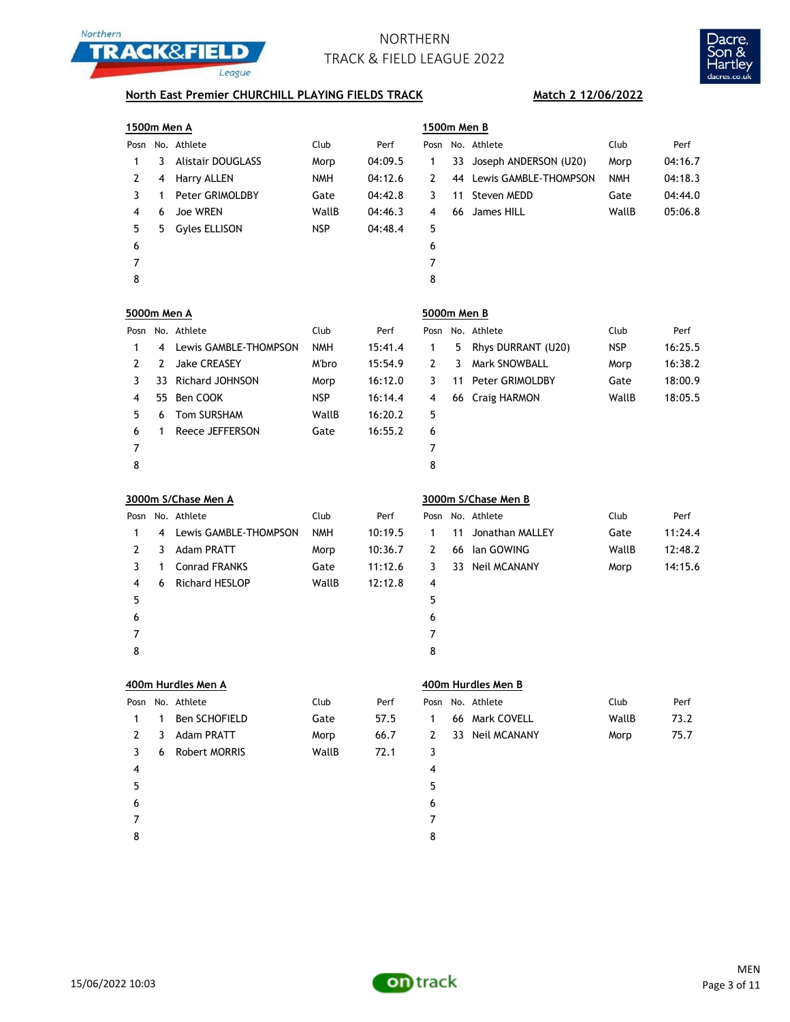



## **North East Premier CHURCHILL PLAYING FIELDS TRACK Match 2 12/06/2022**

| 1500m Men A             |              |                          |            |         | 1500m Men B    |    |                          |            |         |
|-------------------------|--------------|--------------------------|------------|---------|----------------|----|--------------------------|------------|---------|
| Posn                    |              | No. Athlete              | Club       | Perf    |                |    | Posn No. Athlete         | Club       | Perf    |
| 1                       | 3            | <b>Alistair DOUGLASS</b> | Morp       | 04:09.5 | 1              | 33 | Joseph ANDERSON (U20)    | Morp       | 04:16.7 |
| 2                       | 4            | Harry ALLEN              | <b>NMH</b> | 04:12.6 | 2              |    | 44 Lewis GAMBLE-THOMPSON | <b>NMH</b> | 04:18.3 |
| 3                       | $\mathbf{1}$ | Peter GRIMOLDBY          | Gate       | 04:42.8 | 3              | 11 | Steven MEDD              | Gate       | 04:44.0 |
| 4                       | 6            | Joe WREN                 | WallB      | 04:46.3 | 4              | 66 | James HILL               | WallB      | 05:06.8 |
| 5                       | 5            | <b>Gyles ELLISON</b>     | <b>NSP</b> | 04:48.4 | 5              |    |                          |            |         |
| 6                       |              |                          |            |         | 6              |    |                          |            |         |
| 7                       |              |                          |            |         | $\overline{7}$ |    |                          |            |         |
| 8                       |              |                          |            |         | 8              |    |                          |            |         |
| 5000m Men A             |              |                          |            |         | 5000m Men B    |    |                          |            |         |
| Posn                    |              | No. Athlete              | Club       | Perf    |                |    | Posn No. Athlete         | Club       | Perf    |
| 1                       | 4            | Lewis GAMBLE-THOMPSON    | <b>NMH</b> | 15:41.4 | 1              | 5  | Rhys DURRANT (U20)       | <b>NSP</b> | 16:25.5 |
| $\overline{2}$          | 2            | <b>Jake CREASEY</b>      | M'bro      | 15:54.9 | 2              | 3  | Mark SNOWBALL            | Morp       | 16:38.2 |
| 3                       | 33           | <b>Richard JOHNSON</b>   | Morp       | 16:12.0 | 3              | 11 | Peter GRIMOLDBY          | Gate       | 18:00.9 |
| 4                       | 55           | Ben COOK                 | <b>NSP</b> | 16:14.4 | 4              | 66 | Craig HARMON             | WallB      | 18:05.5 |
| 5                       | 6            | Tom SURSHAM              | WallB      | 16:20.2 | 5              |    |                          |            |         |
| 6                       | 1            | Reece JEFFERSON          | Gate       | 16:55.2 | 6              |    |                          |            |         |
| 7                       |              |                          |            |         | $\overline{7}$ |    |                          |            |         |
| 8                       |              |                          |            |         | 8              |    |                          |            |         |
| 3000m S/Chase Men A     |              |                          |            |         |                |    |                          |            |         |
|                         |              |                          |            |         |                |    | 3000m S/Chase Men B      |            |         |
| Posn                    |              | No. Athlete              | Club       | Perf    | Posn           |    | No. Athlete              | Club       | Perf    |
| 1                       | 4            | Lewis GAMBLE-THOMPSON    | <b>NMH</b> | 10:19.5 | $\mathbf{1}$   | 11 | Jonathan MALLEY          | Gate       | 11:24.4 |
| $\overline{2}$          | 3            | <b>Adam PRATT</b>        | Morp       | 10:36.7 | 2              | 66 | lan GOWING               | WallB      | 12:48.2 |
| 3                       | $\mathbf{1}$ | <b>Conrad FRANKS</b>     | Gate       | 11:12.6 | 3              |    | 33 Neil MCANANY          | Morp       | 14:15.6 |
| 4                       | 6            | Richard HESLOP           | WallB      | 12:12.8 | 4              |    |                          |            |         |
| 5                       |              |                          |            |         | 5              |    |                          |            |         |
| 6                       |              |                          |            |         | 6              |    |                          |            |         |
| 7                       |              |                          |            |         | 7              |    |                          |            |         |
| 8                       |              |                          |            |         | 8              |    |                          |            |         |
|                         |              | 400m Hurdles Men A       |            |         |                |    | 400m Hurdles Men B       |            |         |
| Posn                    |              | No. Athlete              | Club       | Perf    | Posn           |    | No. Athlete              | Club       | Perf    |
| 1                       | 1            | Ben SCHOFIELD            | Gate       | 57.5    | 1              |    | 66 Mark COVELL           | WallB      | 73.2    |
| 2                       | 3            | Adam PRATT               | Morp       | 66.7    | 2              |    | 33 Neil MCANANY          | Morp       | 75.7    |
| 3                       | 6            | Robert MORRIS            | WallB      | 72.1    | 3              |    |                          |            |         |
| $\overline{\mathbf{4}}$ |              |                          |            |         | 4              |    |                          |            |         |
| 5                       |              |                          |            |         | 5              |    |                          |            |         |
| 6                       |              |                          |            |         | 6              |    |                          |            |         |
| 7                       |              |                          |            |         | $\overline{7}$ |    |                          |            |         |

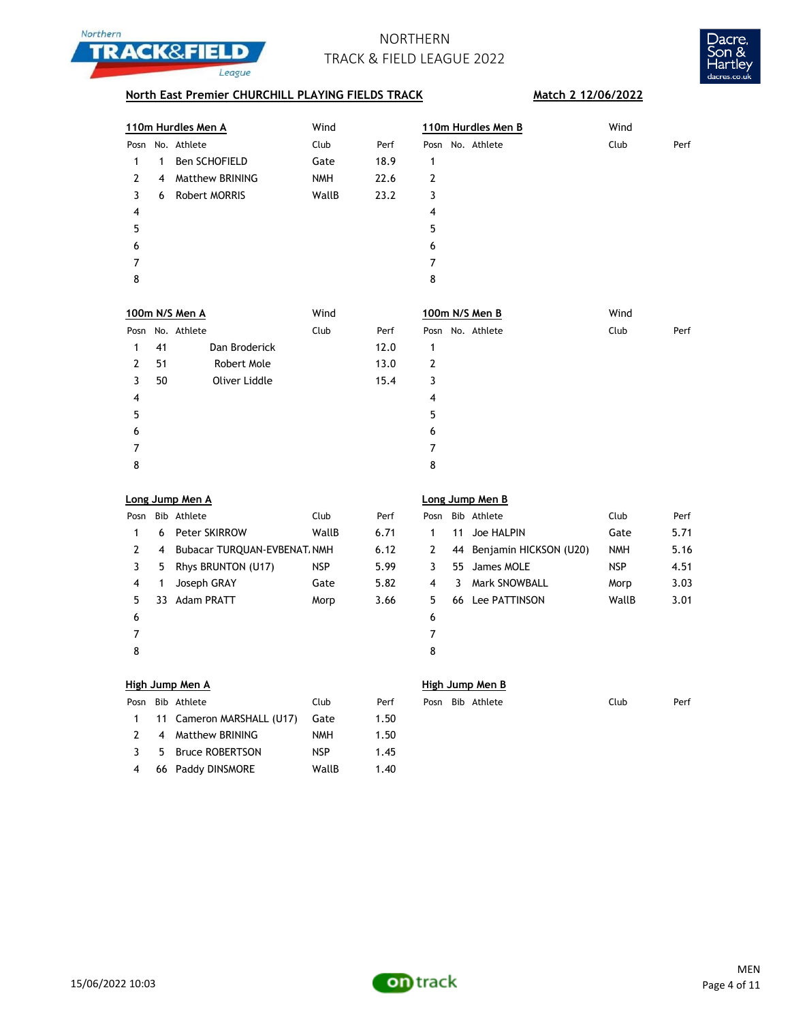



## **North East Premier CHURCHILL PLAYING FIELDS TRACK Match 2 12/06/2022**

| 110m Hurdles Men A |   |                 | Wind       |      | 110m Hurdles Men B | Wind         |
|--------------------|---|-----------------|------------|------|--------------------|--------------|
| Posn               |   | No. Athlete     | Club       | Perf | Posn No. Athlete   | Club<br>Perf |
|                    | 1 | Ben SCHOFIELD   | Gate       | 18.9 | 1                  |              |
| 2                  | 4 | Matthew BRINING | <b>NMH</b> | 22.6 | 2                  |              |
| 3                  | 6 | Robert MORRIS   | WallB      | 23.2 | 3                  |              |
| 4                  |   |                 |            |      | 4                  |              |
| 5                  |   |                 |            |      | 5                  |              |
| 6                  |   |                 |            |      | 6                  |              |
|                    |   |                 |            |      | 7                  |              |
| 8                  |   |                 |            |      | 8                  |              |
|                    |   |                 |            |      |                    |              |

|    |               | Wind                               |      | 100m N/S Men B   | Wind         |
|----|---------------|------------------------------------|------|------------------|--------------|
|    |               | Club                               | Perf | Posn No. Athlete | Club<br>Perf |
| 41 | Dan Broderick |                                    | 12.0 | 1                |              |
| 51 | Robert Mole   |                                    | 13.0 | 2                |              |
| 50 | Oliver Liddle |                                    | 15.4 | 3                |              |
|    |               |                                    |      | 4                |              |
|    |               |                                    |      | 5                |              |
|    |               |                                    |      | 6                |              |
|    |               |                                    |      | 7                |              |
|    |               |                                    |      | 8                |              |
|    |               | 100m N/S Men A<br>Posn No. Athlete |      |                  |              |

|  |  |  | Long Jump Men A |
|--|--|--|-----------------|
|--|--|--|-----------------|

| Posn |   | Bib Athlete                  | Club  | Perf | Pos            |
|------|---|------------------------------|-------|------|----------------|
| 1    | 6 | <b>Peter SKIRROW</b>         | WallB | 6.71 | 1              |
| 2    | 4 | Bubacar TURQUAN-EVBENAT, NMH |       | 6.12 | $\overline{2}$ |
| 3    | 5 | Rhys BRUNTON (U17)           | NSP.  | 5.99 | 3              |
| 4    | 1 | Joseph GRAY                  | Gate  | 5.82 | 4              |
| 5    |   | 33 Adam PRATT                | Morp  | 3.66 | 5              |
| 6    |   |                              |       |      | 6              |
|      |   |                              |       |      | 7              |
| 8    |   |                              |       |      | 8              |

## **Long Jump Men A Long Jump Men B**

| Posn          |    | Bib Athlete                  | Club       | Perf | Posn |    | Bib Athlete               | Club       | Perf |
|---------------|----|------------------------------|------------|------|------|----|---------------------------|------------|------|
|               | 6  | <b>Peter SKIRROW</b>         | WallB      | 6.71 |      | 11 | Joe HALPIN                | Gate       | 5.71 |
| $\mathcal{L}$ | 4  | Bubacar TURQUAN-EVBENAT, NMH |            | 6.12 | 2    |    | 44 Benjamin HICKSON (U20) | <b>NMH</b> | 5.16 |
|               | 5  | Rhys BRUNTON (U17)           | <b>NSP</b> | 5.99 |      |    | 55 James MOLE             | <b>NSP</b> | 4.51 |
| 4             |    | Joseph GRAY                  | Gate       | 5.82 | 4    | 3  | <b>Mark SNOWBALL</b>      | Morp       | 3.03 |
| 5.            | 33 | <b>Adam PRATT</b>            | Morp       | 3.66 | 5.   | 66 | Lee PATTINSON             | WallB      | 3.01 |
| 6             |    |                              |            |      | 6    |    |                           |            |      |
|               |    |                              |            |      |      |    |                           |            |      |
| 8             |    |                              |            |      | 8    |    |                           |            |      |

### **High Jump Men A High Jump Men B**

|                | Posn Bib Athlete          | Club       | Perf |
|----------------|---------------------------|------------|------|
| $\mathbf{1}$   | 11 Cameron MARSHALL (U17) | Gate       | 1.50 |
| $\overline{2}$ | 4 Matthew BRINING         | <b>NMH</b> | 1.50 |
| २              | 5 Bruce ROBERTSON         | <b>NSP</b> | 1.45 |
| 4              | 66 Paddy DINSMORE         | WallB      | 1.40 |

|  | Posn Bib Athlete | Jlub | Perf |  | Posn Bib Athlete | Club | Perf |
|--|------------------|------|------|--|------------------|------|------|

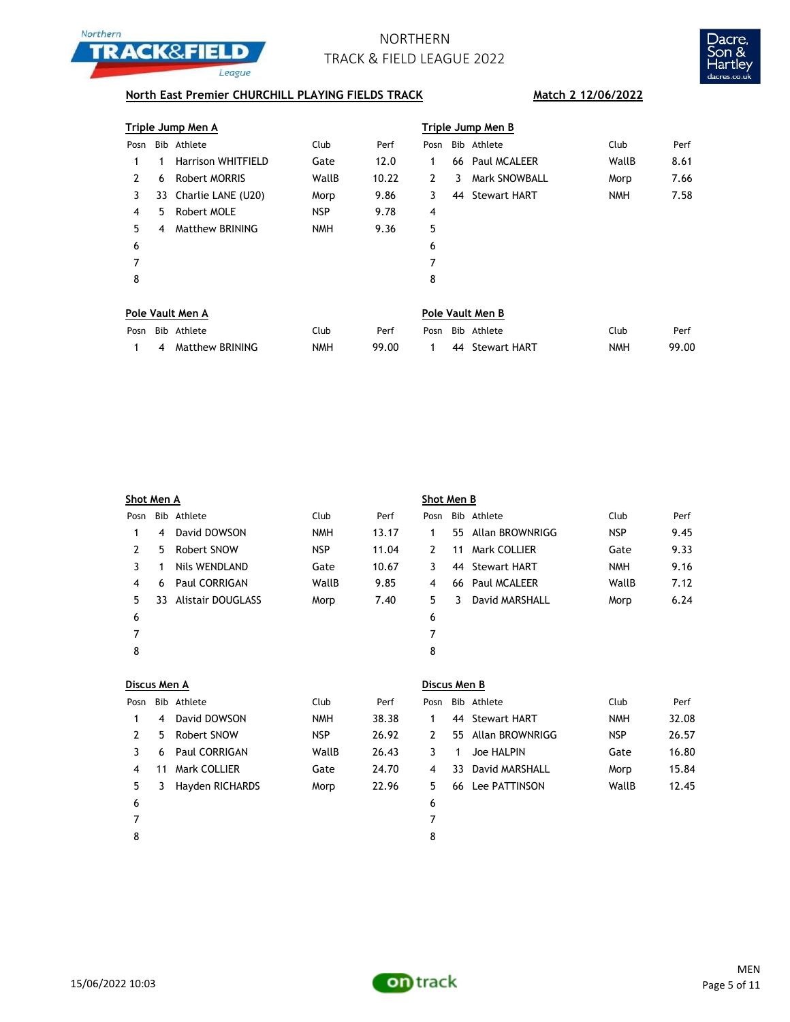



## **North East Premier CHURCHILL PLAYING FIELDS TRACK Match 2 12/06/2022**

|      |    | Triple Jump Men A         |            |       | Triple Jump Men B |   |                      |            |      |  |  |
|------|----|---------------------------|------------|-------|-------------------|---|----------------------|------------|------|--|--|
| Posn |    | Bib Athlete               | Club       | Perf  | Posn              |   | Bib Athlete          | Club       | Perf |  |  |
|      |    | <b>Harrison WHITFIELD</b> | Gate       | 12.0  | 1                 |   | 66 Paul MCALEER      | WallB      | 8.61 |  |  |
| 2    | 6  | Robert MORRIS             | WallB      | 10.22 | 2                 | 3 | <b>Mark SNOWBALL</b> | Morp       | 7.66 |  |  |
| 3    |    | 33 Charlie LANE (U20)     | Morp       | 9.86  | 3                 |   | 44 Stewart HART      | <b>NMH</b> | 7.58 |  |  |
| 4    | 5. | Robert MOLE               | <b>NSP</b> | 9.78  | 4                 |   |                      |            |      |  |  |
| 5    | 4  | Matthew BRINING           | <b>NMH</b> | 9.36  | 5                 |   |                      |            |      |  |  |
| 6    |    |                           |            |       | 6                 |   |                      |            |      |  |  |
| 7    |    |                           |            |       | 7                 |   |                      |            |      |  |  |
| 8    |    |                           |            |       | 8                 |   |                      |            |      |  |  |
|      |    |                           |            |       |                   |   |                      |            |      |  |  |

|      | Pole Vault Men A  |      | Pole Vault Men B |  |  |                  |            |       |  |
|------|-------------------|------|------------------|--|--|------------------|------------|-------|--|
| Posn | Bib Athlete       | Ilub | Perf             |  |  | Posn Bib Athlete | Club       | Perf  |  |
|      | 4 Matthew BRINING | NMH  | 99.00            |  |  | 44 Stewart HART  | <b>NMH</b> | 99.00 |  |

| Shot Men A |                |                          |            |       | Shot Men B |    |                     |            |      |  |  |
|------------|----------------|--------------------------|------------|-------|------------|----|---------------------|------------|------|--|--|
| Posn       |                | Bib Athlete              | Club       | Perf  | Posn       |    | Bib Athlete         | Club       | Perf |  |  |
| 1          | $\overline{4}$ | David DOWSON             | <b>NMH</b> | 13.17 | 1          |    | 55 Allan BROWNRIGG  | <b>NSP</b> | 9.45 |  |  |
| 2          | 5              | Robert SNOW              | <b>NSP</b> | 11.04 | 2          | 11 | Mark COLLIER        | Gate       | 9.33 |  |  |
| 3          |                | Nils WENDLAND            | Gate       | 10.67 | 3          | 44 | Stewart HART        | <b>NMH</b> | 9.16 |  |  |
| 4          | 6              | <b>Paul CORRIGAN</b>     | WallB      | 9.85  | 4          | 66 | <b>Paul MCALEER</b> | WallB      | 7.12 |  |  |
| 5.         | 33             | <b>Alistair DOUGLASS</b> | Morp       | 7.40  | 5.         | 3  | David MARSHALL      | Morp       | 6.24 |  |  |
| 6          |                |                          |            |       | 6          |    |                     |            |      |  |  |
| 7          |                |                          |            |       | 7          |    |                     |            |      |  |  |
| 8          |                |                          |            |       | 8          |    |                     |            |      |  |  |
|            |                |                          |            |       |            |    |                     |            |      |  |  |

| Discus Men A |    |                 |            |       | Discus Men B |  |                    |            |       |  |  |  |
|--------------|----|-----------------|------------|-------|--------------|--|--------------------|------------|-------|--|--|--|
| Posn         |    | Bib Athlete     | Club       | Perf  | Posn         |  | Bib Athlete        | Club       | Perf  |  |  |  |
|              | 4  | David DOWSON    | <b>NMH</b> | 38.38 |              |  | 44 Stewart HART    | <b>NMH</b> | 32.08 |  |  |  |
| 2            | 5. | Robert SNOW     | <b>NSP</b> | 26.92 | 2            |  | 55 Allan BROWNRIGG | <b>NSP</b> | 26.57 |  |  |  |
| 3            | 6  | Paul CORRIGAN   | WallB      | 26.43 | 3            |  | Joe HALPIN         | Gate       | 16.80 |  |  |  |
| 4            | 11 | Mark COLLIER    | Gate       | 24.70 | 4            |  | 33 David MARSHALL  | Morp       | 15.84 |  |  |  |
| 5            | 3  | Hayden RICHARDS | Morp       | 22.96 | 5.           |  | 66 Lee PATTINSON   | WallB      | 12.45 |  |  |  |
| 6            |    |                 |            |       | 6            |  |                    |            |       |  |  |  |
|              |    |                 |            |       | 7            |  |                    |            |       |  |  |  |
| 8            |    |                 |            |       | 8            |  |                    |            |       |  |  |  |

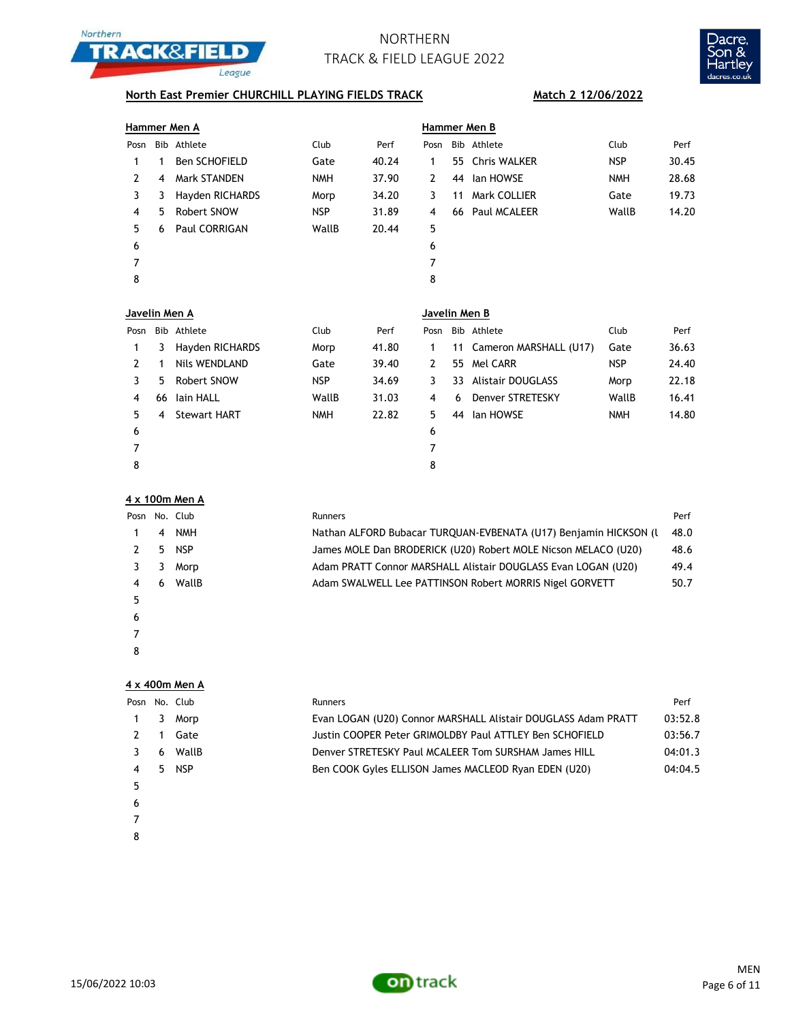



## **North East Premier CHURCHILL PLAYING FIELDS TRACK Match 2 12/06/2022**

|               |    | Hammer Men A         |            |       | Hammer Men B |    |                 |            |       |  |  |
|---------------|----|----------------------|------------|-------|--------------|----|-----------------|------------|-------|--|--|
| Posn          |    | Bib Athlete          | Club       | Perf  | Posn         |    | Bib Athlete     | Club       | Perf  |  |  |
| 1             | 1  | <b>Ben SCHOFIELD</b> | Gate       | 40.24 | 1            |    | 55 Chris WALKER | <b>NSP</b> | 30.45 |  |  |
| $\mathcal{L}$ | 4  | Mark STANDEN         | <b>NMH</b> | 37.90 | 2            | 44 | lan HOWSE       | <b>NMH</b> | 28.68 |  |  |
| 3             | 3  | Hayden RICHARDS      | Morp       | 34.20 | 3            | 11 | Mark COLLIER    | Gate       | 19.73 |  |  |
| 4             | 5. | Robert SNOW          | <b>NSP</b> | 31.89 | 4            |    | 66 Paul MCALEER | WallB      | 14.20 |  |  |
| 5.            | 6  | Paul CORRIGAN        | WallB      | 20.44 | 5            |    |                 |            |       |  |  |
| 6             |    |                      |            |       | 6            |    |                 |            |       |  |  |
| 7             |    |                      |            |       | 7            |    |                 |            |       |  |  |
| 8             |    |                      |            |       | 8            |    |                 |            |       |  |  |
|               |    |                      |            |       |              |    |                 |            |       |  |  |

| Javelin Men A |    |                     |            |       | Javelin Men B |    |                           |            |       |  |  |  |
|---------------|----|---------------------|------------|-------|---------------|----|---------------------------|------------|-------|--|--|--|
| Posn          |    | Bib Athlete         | Club       | Perf  | Posn          |    | Bib Athlete               | Club       | Perf  |  |  |  |
|               | 3  | Hayden RICHARDS     | Morp       | 41.80 | 1             |    | 11 Cameron MARSHALL (U17) | Gate       | 36.63 |  |  |  |
| 2             |    | Nils WENDLAND       | Gate       | 39.40 | 2             |    | 55 Mel CARR               | <b>NSP</b> | 24.40 |  |  |  |
| 3             | 5  | Robert SNOW         | <b>NSP</b> | 34.69 | 3             | 33 | Alistair DOUGLASS         | Morp       | 22.18 |  |  |  |
| 4             | 66 | lain HALL           | WallB      | 31.03 | 4             | 6  | Denver STRETESKY          | WallB      | 16.41 |  |  |  |
| 5.            | 4  | <b>Stewart HART</b> | <b>NMH</b> | 22.82 | 5.            | 44 | lan HOWSE                 | <b>NMH</b> | 14.80 |  |  |  |
| 6             |    |                     |            |       | 6             |    |                           |            |       |  |  |  |
|               |    |                     |            |       | 7             |    |                           |            |       |  |  |  |
| 8             |    |                     |            |       | 8             |    |                           |            |       |  |  |  |
|               |    |                     |            |       |               |    |                           |            |       |  |  |  |

### **4 x 100m Men A**

|   |                | Posn No. Club | Runners                                                          | Perf |
|---|----------------|---------------|------------------------------------------------------------------|------|
|   | $\overline{4}$ | <b>NMH</b>    | Nathan ALFORD Bubacar TURQUAN-EVBENATA (U17) Benjamin HICKSON (L | 48.0 |
|   | 5.             | <b>NSP</b>    | James MOLE Dan BRODERICK (U20) Robert MOLE Nicson MELACO (U20)   | 48.6 |
|   |                | Morp          | Adam PRATT Connor MARSHALL Alistair DOUGLASS Evan LOGAN (U20)    | 49.4 |
|   | 6              | WallB         | Adam SWALWELL Lee PATTINSON Robert MORRIS Nigel GORVETT          | 50.7 |
|   |                |               |                                                                  |      |
| 6 |                |               |                                                                  |      |
|   |                |               |                                                                  |      |

### 

**4 x 400m Men A**

| Posn |    | No. Club   | Runners                                                       | Perf    |
|------|----|------------|---------------------------------------------------------------|---------|
|      | 3. | Morp       | Evan LOGAN (U20) Connor MARSHALL Alistair DOUGLASS Adam PRATT | 03:52.8 |
|      |    | Gate       | Justin COOPER Peter GRIMOLDBY Paul ATTLEY Ben SCHOFIELD       | 03:56.7 |
|      | 6  | WallB      | Denver STRETESKY Paul MCALEER Tom SURSHAM James HILL          | 04:01.3 |
| 4    | 5. | <b>NSP</b> | Ben COOK Gyles ELLISON James MACLEOD Ryan EDEN (U20)          | 04:04.5 |
| 5    |    |            |                                                               |         |
| 6    |    |            |                                                               |         |
|      |    |            |                                                               |         |

- 
- 

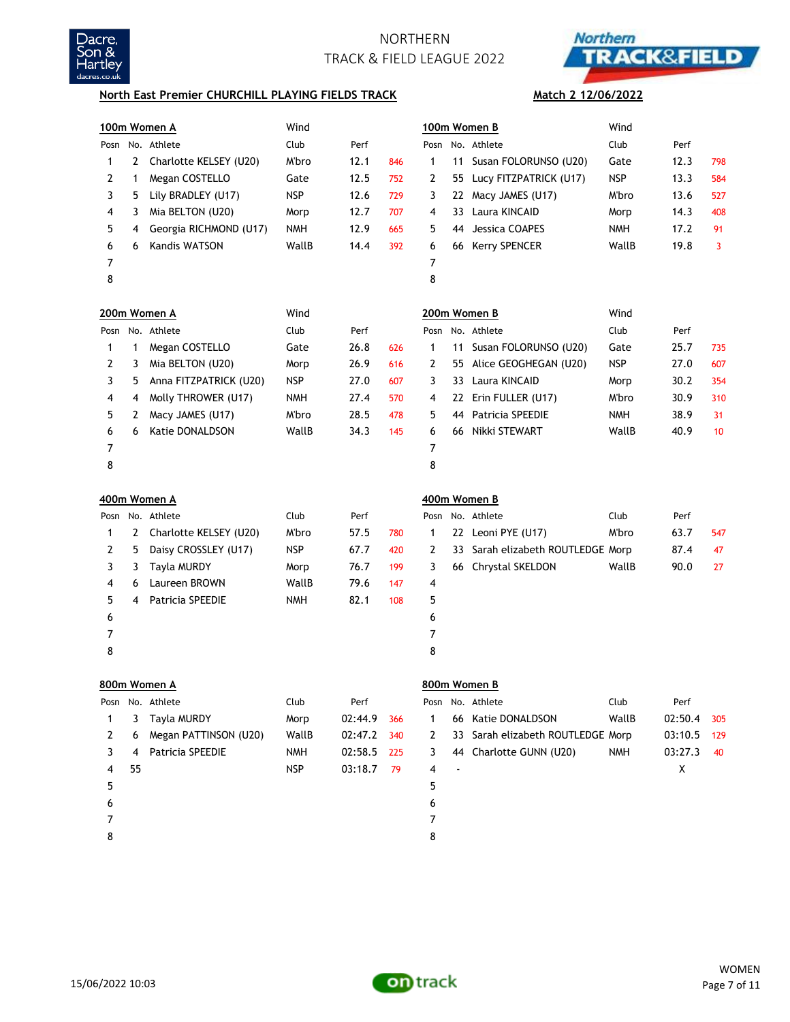



### **North East Premier CHURCHILL PLAYING FIELDS TRACK**

# **Match 2 12/06/2022**

|                |              | 100m Women A            | Wind       |         |     |              |    | 100m Women B                   | Wind       |             |                 |
|----------------|--------------|-------------------------|------------|---------|-----|--------------|----|--------------------------------|------------|-------------|-----------------|
|                |              | Posn No. Athlete        | Club       | Perf    |     | Posn         |    | No. Athlete                    | Club       | Perf        |                 |
| $\mathbf{1}$   | 2            | Charlotte KELSEY (U20)  | M'bro      | 12.1    | 846 | $\mathbf{1}$ | 11 | Susan FOLORUNSO (U20)          | Gate       | 12.3        | 798             |
| 2              | 1            | Megan COSTELLO          | Gate       | 12.5    | 752 | 2            |    | 55 Lucy FITZPATRICK (U17)      | <b>NSP</b> | 13.3        | 584             |
| 3              | 5            | Lily BRADLEY (U17)      | <b>NSP</b> | 12.6    | 729 | 3            | 22 | Macy JAMES (U17)               | M'bro      | 13.6        | 527             |
| 4              | 3            | Mia BELTON (U20)        | Morp       | 12.7    | 707 | 4            | 33 | Laura KINCAID                  | Morp       | 14.3        | 408             |
| 5              | 4            | Georgia RICHMOND (U17)  | <b>NMH</b> | 12.9    | 665 | 5            | 44 | Jessica COAPES                 | <b>NMH</b> | 17.2        | 91              |
| 6              | 6            | Kandis WATSON           | WallB      | 14.4    | 392 | 6            | 66 | <b>Kerry SPENCER</b>           | WallB      | 19.8        | 3               |
| 7              |              |                         |            |         |     | 7            |    |                                |            |             |                 |
| 8              |              |                         |            |         |     | 8            |    |                                |            |             |                 |
|                |              | 200m Women A            | Wind       |         |     |              |    | 200m Women B                   | Wind       |             |                 |
|                |              | Posn No. Athlete        | Club       | Perf    |     | Posn         |    | No. Athlete                    | Club       | Perf        |                 |
| $\mathbf{1}$   | $\mathbf{1}$ | Megan COSTELLO          | Gate       | 26.8    | 626 | $\mathbf{1}$ | 11 | Susan FOLORUNSO (U20)          | Gate       | 25.7        | 735             |
| 2              | 3            | Mia BELTON (U20)        | Morp       | 26.9    | 616 | 2            |    | 55 Alice GEOGHEGAN (U20)       | <b>NSP</b> | 27.0        | 607             |
| 3              | 5            | Anna FITZPATRICK (U20)  | <b>NSP</b> | 27.0    | 607 | 3            | 33 | Laura KINCAID                  | Morp       | 30.2        | 354             |
| 4              | 4            | Molly THROWER (U17)     | <b>NMH</b> | 27.4    | 570 | 4            | 22 | Erin FULLER (U17)              | M'bro      | 30.9        | 310             |
| 5              | 2            | Macy JAMES (U17)        | M'bro      | 28.5    | 478 | 5            | 44 | Patricia SPEEDIE               | <b>NMH</b> | 38.9        | 31              |
| 6              | 6            | Katie DONALDSON         | WallB      | 34.3    | 145 | 6            | 66 | Nikki STEWART                  | WallB      | 40.9        | 10 <sup>°</sup> |
| $\overline{7}$ |              |                         |            |         |     | 7            |    |                                |            |             |                 |
| 8              |              |                         |            |         |     | 8            |    |                                |            |             |                 |
|                | 400m Women A |                         |            |         |     |              |    | 400m Women B                   |            |             |                 |
|                |              | Posn No. Athlete        | Club       | Perf    |     | Posn         |    | No. Athlete                    | Club       | Perf        |                 |
| $\mathbf{1}$   | 2            | Charlotte KELSEY (U20)  | M'bro      | 57.5    | 780 | $\mathbf{1}$ |    | 22 Leoni PYE (U17)             | M'bro      | 63.7        | 547             |
| 2              | 5            | Daisy CROSSLEY (U17)    | <b>NSP</b> | 67.7    | 420 | 2            | 33 | Sarah elizabeth ROUTLEDGE Morp |            | 87.4        | 47              |
| 3              | 3            | Tayla MURDY             | Morp       | 76.7    | 199 | 3            | 66 | <b>Chrystal SKELDON</b>        | WallB      | 90.0        | 27              |
| 4              | 6            | Laureen BROWN           | WallB      | 79.6    | 147 | 4            |    |                                |            |             |                 |
| 5              | 4            | <b>Patricia SPEEDIE</b> | <b>NMH</b> | 82.1    | 108 | 5            |    |                                |            |             |                 |
| 6              |              |                         |            |         |     | 6            |    |                                |            |             |                 |
| 7              |              |                         |            |         |     | 7            |    |                                |            |             |                 |
| 8              |              |                         |            |         |     | 8            |    |                                |            |             |                 |
|                |              | 800m Women A            |            |         |     |              |    | 800m Women B                   |            |             |                 |
|                |              | Posn No. Athlete        | Club       | Perf    |     | Posn         |    | No. Athlete                    | Club       | Perf        |                 |
| $\mathbf{1}$   | 3            | Tayla MURDY             | Morp       | 02:44.9 | 366 | $\mathbf{1}$ | 66 | Katie DONALDSON                | WallB      | 02:50.4     | 305             |
| 2              | 6            | Megan PATTINSON (U20)   | WallB      | 02:47.2 | 340 | 2            | 33 | Sarah elizabeth ROUTLEDGE Morp |            | 03:10.5     | 129             |
| 3              | 4            | Patricia SPEEDIE        | <b>NMH</b> | 02:58.5 | 225 | 3            | 44 | Charlotte GUNN (U20)           | <b>NMH</b> | 03:27.3     | 40              |
| 4              | 55           |                         | <b>NSP</b> | 03:18.7 | 79  | 4            |    |                                |            | $\mathsf X$ |                 |
| 5              |              |                         |            |         |     | 5            |    |                                |            |             |                 |
| 6              |              |                         |            |         |     | 6            |    |                                |            |             |                 |
| 7              |              |                         |            |         |     | 7            |    |                                |            |             |                 |
| 8              |              |                         |            |         |     | 8            |    |                                |            |             |                 |

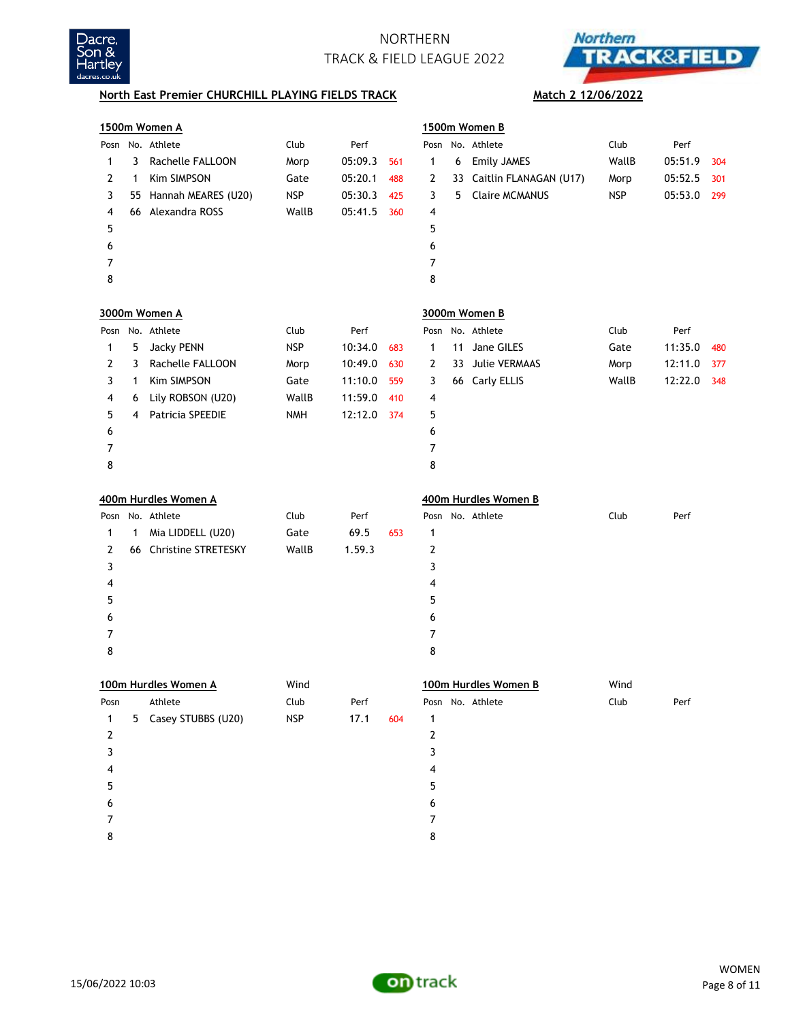



## **North East Premier CHURCHILL PLAYING FIELDS TRACK** Match 2 12/06/2022

| 1500m Women A  |                                                                        |                        |            |         |     |                  |    | 1500m Women B          |            |         |     |  |  |  |
|----------------|------------------------------------------------------------------------|------------------------|------------|---------|-----|------------------|----|------------------------|------------|---------|-----|--|--|--|
|                |                                                                        | Posn No. Athlete       | Club       | Perf    |     |                  |    | Posn No. Athlete       | Club       | Perf    |     |  |  |  |
| 1              | 3                                                                      | Rachelle FALLOON       | Morp       | 05:09.3 | 561 | $\mathbf{1}$     | 6  | Emily JAMES            | WallB      | 05:51.9 | 304 |  |  |  |
| 2              | 1                                                                      | Kim SIMPSON            | Gate       | 05:20.1 | 488 | 2                | 33 | Caitlin FLANAGAN (U17) | Morp       | 05:52.5 | 301 |  |  |  |
| 3              |                                                                        | 55 Hannah MEARES (U20) | <b>NSP</b> | 05:30.3 | 425 | 3                | 5. | <b>Claire MCMANUS</b>  | <b>NSP</b> | 05:53.0 | 299 |  |  |  |
| 4              |                                                                        | 66 Alexandra ROSS      | WallB      | 05:41.5 | 360 | 4                |    |                        |            |         |     |  |  |  |
| 5              |                                                                        |                        |            |         |     | 5                |    |                        |            |         |     |  |  |  |
| 6              |                                                                        |                        |            |         |     | 6                |    |                        |            |         |     |  |  |  |
| 7              |                                                                        |                        |            |         |     | 7                |    |                        |            |         |     |  |  |  |
| 8              |                                                                        |                        |            |         |     | 8                |    |                        |            |         |     |  |  |  |
|                | 3000m Women A<br>3000m Women B<br>Posn No. Athlete<br>Posn No. Athlete |                        |            |         |     |                  |    |                        |            |         |     |  |  |  |
|                |                                                                        |                        | Club       | Perf    |     |                  |    |                        | Club       | Perf    |     |  |  |  |
| 1              | 5                                                                      | <b>Jacky PENN</b>      | <b>NSP</b> | 10:34.0 | 683 | $\mathbf{1}$     | 11 | Jane GILES             | Gate       | 11:35.0 | 480 |  |  |  |
| 2              | 3                                                                      | Rachelle FALLOON       | Morp       | 10:49.0 | 630 | 2                | 33 | Julie VERMAAS          | Morp       | 12:11.0 | 377 |  |  |  |
| 3              | 1                                                                      | Kim SIMPSON            | Gate       | 11:10.0 | 559 | 3                |    | 66 Carly ELLIS         | WallB      | 12:22.0 | 348 |  |  |  |
| 4              | 6                                                                      | Lily ROBSON (U20)      | WallB      | 11:59.0 | 410 | 4                |    |                        |            |         |     |  |  |  |
| 5              | 4                                                                      | Patricia SPEEDIE       | <b>NMH</b> | 12:12.0 | 374 | 5                |    |                        |            |         |     |  |  |  |
| 6              |                                                                        |                        |            |         |     | 6                |    |                        |            |         |     |  |  |  |
| 7              |                                                                        |                        |            |         |     | 7                |    |                        |            |         |     |  |  |  |
| 8              |                                                                        |                        |            |         |     | 8                |    |                        |            |         |     |  |  |  |
|                |                                                                        |                        |            |         |     |                  |    |                        |            |         |     |  |  |  |
|                |                                                                        | 400m Hurdles Women A   |            |         |     |                  |    | 400m Hurdles Women B   |            |         |     |  |  |  |
|                |                                                                        | Posn No. Athlete       | Club       | Perf    |     |                  |    | Posn No. Athlete       | Club       | Perf    |     |  |  |  |
| 1              | 1                                                                      | Mia LIDDELL (U20)      | Gate       | 69.5    | 653 | 1                |    |                        |            |         |     |  |  |  |
| 2              |                                                                        | 66 Christine STRETESKY | WallB      | 1.59.3  |     | 2                |    |                        |            |         |     |  |  |  |
| 3              |                                                                        |                        |            |         |     | 3                |    |                        |            |         |     |  |  |  |
| 4              |                                                                        |                        |            |         |     | 4                |    |                        |            |         |     |  |  |  |
| 5              |                                                                        |                        |            |         |     | 5                |    |                        |            |         |     |  |  |  |
| 6              |                                                                        |                        |            |         |     | 6                |    |                        |            |         |     |  |  |  |
| 7              |                                                                        |                        |            |         |     | $\overline{7}$   |    |                        |            |         |     |  |  |  |
| 8              |                                                                        |                        |            |         |     | 8                |    |                        |            |         |     |  |  |  |
|                |                                                                        | 100m Hurdles Women A   | Wind       |         |     |                  |    | 100m Hurdles Women B   | Wind       |         |     |  |  |  |
| Posn           |                                                                        | Athlete                | Club       | Perf    |     |                  |    | Posn No. Athlete       | Club       | Perf    |     |  |  |  |
| 1              |                                                                        | 5 Casey STUBBS (U20)   | <b>NSP</b> | 17.1    | 604 | $\mathbf{1}$     |    |                        |            |         |     |  |  |  |
| $\overline{2}$ |                                                                        |                        |            |         |     | $\boldsymbol{2}$ |    |                        |            |         |     |  |  |  |
| 3              |                                                                        |                        |            |         |     | 3                |    |                        |            |         |     |  |  |  |
| 4              |                                                                        |                        |            |         |     | 4                |    |                        |            |         |     |  |  |  |
| 5              |                                                                        |                        |            |         |     | 5                |    |                        |            |         |     |  |  |  |
| 6              |                                                                        |                        |            |         |     | 6                |    |                        |            |         |     |  |  |  |
| 7              |                                                                        |                        |            |         |     | 7                |    |                        |            |         |     |  |  |  |
| 8              |                                                                        |                        |            |         |     | 8                |    |                        |            |         |     |  |  |  |
|                |                                                                        |                        |            |         |     |                  |    |                        |            |         |     |  |  |  |

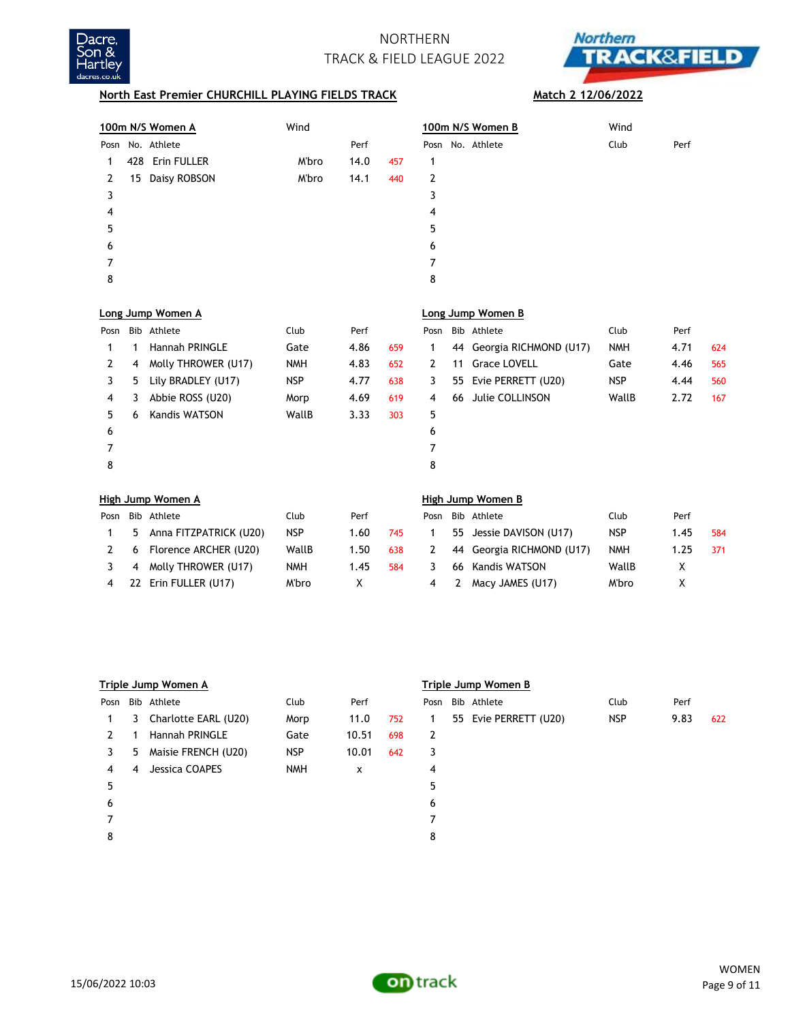



## **North East Premier CHURCHILL PLAYING FIELDS TRACK** Match 2 12/06/2022

|      |     | 100m N/S Women A       | Wind       |      |     |      |    | 100m N/S Women B         | Wind       |      |     |
|------|-----|------------------------|------------|------|-----|------|----|--------------------------|------------|------|-----|
| Posn |     | No. Athlete            |            | Perf |     | Posn |    | No. Athlete              | Club       | Perf |     |
| 1    | 428 | Erin FULLER            | M'bro      | 14.0 | 457 | 1    |    |                          |            |      |     |
| 2    | 15  | Daisy ROBSON           | M'bro      | 14.1 | 440 | 2    |    |                          |            |      |     |
| 3    |     |                        |            |      |     | 3    |    |                          |            |      |     |
| 4    |     |                        |            |      |     | 4    |    |                          |            |      |     |
| 5    |     |                        |            |      |     | 5    |    |                          |            |      |     |
| 6    |     |                        |            |      |     | 6    |    |                          |            |      |     |
| 7    |     |                        |            |      |     | 7    |    |                          |            |      |     |
| 8    |     |                        |            |      |     | 8    |    |                          |            |      |     |
|      |     | Long Jump Women A      |            |      |     |      |    | Long Jump Women B        |            |      |     |
| Posn |     | Bib Athlete            | Club       | Perf |     | Posn |    | Bib Athlete              | Club       | Perf |     |
| 1    | 1   | <b>Hannah PRINGLE</b>  | Gate       | 4.86 | 659 | 1    | 44 | Georgia RICHMOND (U17)   | <b>NMH</b> | 4.71 | 624 |
| 2    | 4   | Molly THROWER (U17)    | <b>NMH</b> | 4.83 | 652 | 2    | 11 | <b>Grace LOVELL</b>      | Gate       | 4.46 | 565 |
| 3    | 5   | Lily BRADLEY (U17)     | <b>NSP</b> | 4.77 | 638 | 3    | 55 | Evie PERRETT (U20)       | <b>NSP</b> | 4.44 | 560 |
| 4    | 3   | Abbie ROSS (U20)       | Morp       | 4.69 | 619 | 4    | 66 | Julie COLLINSON          | WallB      | 2.72 | 167 |
| 5    | 6   | <b>Kandis WATSON</b>   | WallB      | 3.33 | 303 | 5    |    |                          |            |      |     |
| 6    |     |                        |            |      |     | 6    |    |                          |            |      |     |
| 7    |     |                        |            |      |     | 7    |    |                          |            |      |     |
| 8    |     |                        |            |      |     | 8    |    |                          |            |      |     |
|      |     | High Jump Women A      |            |      |     |      |    | <b>High Jump Women B</b> |            |      |     |
| Posn |     | Bib Athlete            | Club       | Perf |     | Posn |    | Bib Athlete              | Club       | Perf |     |
| 1    | 5   | Anna FITZPATRICK (U20) | <b>NSP</b> | 1.60 | 745 | 1    | 55 | Jessie DAVISON (U17)     | <b>NSP</b> | 1.45 | 584 |
| 2    | 6   | Florence ARCHER (U20)  | WallB      | 1.50 | 638 | 2    | 44 | Georgia RICHMOND (U17)   | <b>NMH</b> | 1.25 | 371 |
| 3    | 4   | Molly THROWER (U17)    | <b>NMH</b> | 1.45 | 584 | 3    | 66 | Kandis WATSON            | WallB      | Χ    |     |

| Triple Jump Women A |    |                      |            |       |     | Triple Jump Women B |  |                       |            |      |     |  |
|---------------------|----|----------------------|------------|-------|-----|---------------------|--|-----------------------|------------|------|-----|--|
| Posn                |    | Bib Athlete          | Club       | Perf  |     | Posn                |  | Bib Athlete           | Club       | Perf |     |  |
| 1.                  | 3  | Charlotte EARL (U20) | Morp       | 11.0  | 752 | 1.                  |  | 55 Evie PERRETT (U20) | <b>NSP</b> | 9.83 | 622 |  |
| $\mathcal{P}$       |    | Hannah PRINGLE       | Gate       | 10.51 | 698 | 2                   |  |                       |            |      |     |  |
| 3                   | 5. | Maisie FRENCH (U20)  | <b>NSP</b> | 10.01 | 642 | 3                   |  |                       |            |      |     |  |
| 4                   | 4  | Jessica COAPES       | <b>NMH</b> | x     |     | 4                   |  |                       |            |      |     |  |
| 5                   |    |                      |            |       |     | 5                   |  |                       |            |      |     |  |
| 6                   |    |                      |            |       |     | 6                   |  |                       |            |      |     |  |
|                     |    |                      |            |       |     | 7                   |  |                       |            |      |     |  |
| 8                   |    |                      |            |       |     | 8                   |  |                       |            |      |     |  |

22 Erin FULLER (U17) M'bro X 4 2 Macy JAMES (U17) M'bro X



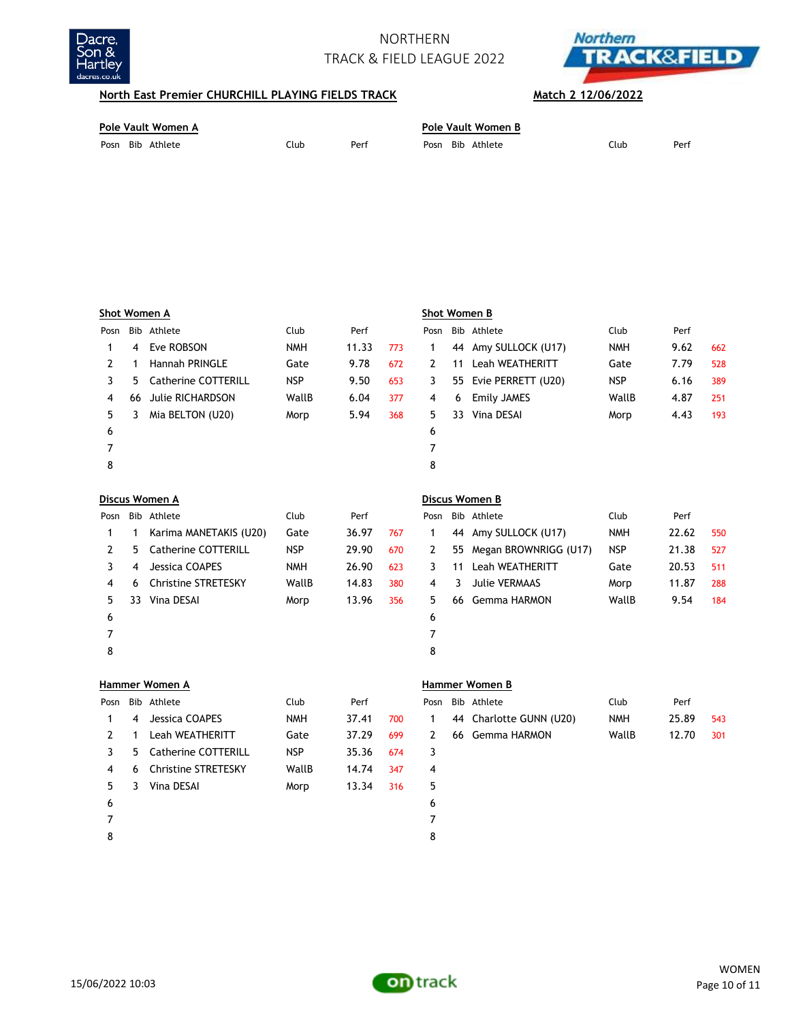



## **North East Premier CHURCHILL PLAYING FIELDS TRACK** Match 2 12/06/2022

3 5 Catherine COTTERILL NSP 35.36 674 3 6 Christine STRETESKY WallB 14.74 347 4 3 Vina DESAI Morp 13.34 316 5 7 8

| Pole Vault Women A |      | Pole Vault Women B |                  |      |      |  |  |
|--------------------|------|--------------------|------------------|------|------|--|--|
| Posn Bib Athlete   | Club | Perf               | Posn Bib Athlete | Club | Perf |  |  |

| Shot Women A |     |                            |            |       |     | Shot Women B   |                         |                        |            |       |     |  |
|--------------|-----|----------------------------|------------|-------|-----|----------------|-------------------------|------------------------|------------|-------|-----|--|
| Posn         | Bib | Athlete                    | Club       | Perf  |     | Posn           | Bib                     | Athlete                | Club       | Perf  |     |  |
| 1            | 4   | Eve ROBSON                 | <b>NMH</b> | 11.33 | 773 | 1              | Amy SULLOCK (U17)<br>44 |                        | <b>NMH</b> | 9.62  | 662 |  |
| 2            | 1   | <b>Hannah PRINGLE</b>      | Gate       | 9.78  | 672 | 2              | 11                      | <b>Leah WEATHERITT</b> | Gate       | 7.79  | 528 |  |
| 3            | 5   | <b>Catherine COTTERILL</b> | <b>NSP</b> | 9.50  | 653 | 3              | 55                      | Evie PERRETT (U20)     | <b>NSP</b> | 6.16  | 389 |  |
| 4            | 66  | <b>Julie RICHARDSON</b>    | WallB      | 6.04  | 377 | 4              | 6                       | <b>Emily JAMES</b>     | WallB      | 4.87  | 251 |  |
| 5            | 3   | Mia BELTON (U20)           | Morp       | 5.94  | 368 | 5              | 33                      | Vina DESAI             | Morp       | 4.43  | 193 |  |
| 6            |     |                            |            |       |     | 6              |                         |                        |            |       |     |  |
| 7            |     |                            |            |       |     | 7              |                         |                        |            |       |     |  |
| 8            |     |                            |            |       |     | 8              |                         |                        |            |       |     |  |
|              |     | Discus Women A             |            |       |     | Discus Women B |                         |                        |            |       |     |  |
| Posn         |     | Bib Athlete                | Club       | Perf  |     | Posn           |                         | Bib Athlete            | Club       | Perf  |     |  |
| 1            | 1   | Karima MANETAKIS (U20)     | Gate       | 36.97 | 767 | 1              | 44                      | Amy SULLOCK (U17)      | <b>NMH</b> | 22.62 | 550 |  |
| 2            | 5   | Catherine COTTERILL        | <b>NSP</b> | 29.90 | 670 | 2              | 55                      | Megan BROWNRIGG (U17)  | <b>NSP</b> | 21.38 | 527 |  |
| 3            | 4   | Jessica COAPES             | <b>NMH</b> | 26.90 | 623 | 3              | 11                      | <b>Leah WEATHERITT</b> | Gate       | 20.53 | 511 |  |
| 4            | 6   | <b>Christine STRETESKY</b> | WallB      | 14.83 | 380 | 4              | 3                       | <b>Julie VERMAAS</b>   | Morp       | 11.87 | 288 |  |
| 5            | 33  | Vina DESAI                 | Morp       | 13.96 | 356 | 5              | 66                      | Gemma HARMON           | WallB      | 9.54  | 184 |  |
| 6            |     |                            |            |       |     | 6              |                         |                        |            |       |     |  |
| 7            |     |                            |            |       |     | 7              |                         |                        |            |       |     |  |
| 8            |     |                            |            |       |     | 8              |                         |                        |            |       |     |  |
|              |     | Hammer Women A             |            |       |     |                |                         | <b>Hammer Women B</b>  |            |       |     |  |
| Posn         |     | Bib Athlete                | Club       | Perf  |     | Posn           |                         | Bib Athlete            | Club       | Perf  |     |  |
| 1            | 4   | Jessica COAPES             | <b>NMH</b> | 37.41 | 700 | 1              | 44                      | Charlotte GUNN (U20)   | <b>NMH</b> | 25.89 | 543 |  |
| 2            | 1   | Leah WEATHERITT            | Gate       | 37.29 | 699 | 2              | 66                      | Gemma HARMON           | WallB      | 12.70 | 301 |  |